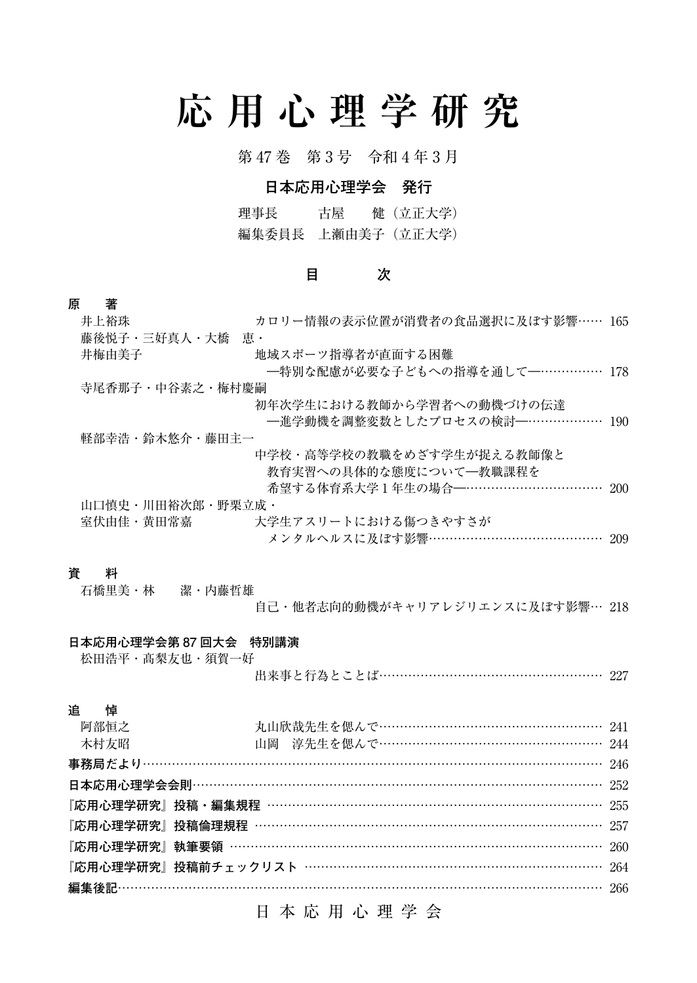# **応用心理学研究**

第 47 巻 第 3 号 令和 4 年 3 月

## **日本応用心理学会 発行**

理事長 古屋 健(立正大学) 編集委員長 上瀬由美子(立正大学)

## **目 次**

## **原 著**

| 井上裕珠             | カロリー情報の表示位置が消費者の食品選択に及ぼす影響…… 165 |  |
|------------------|----------------------------------|--|
| 藤後悦子・三好真人・大橋 恵・  |                                  |  |
| 井梅由美子            | 地域スポーツ指導者が直面する困難                 |  |
|                  | ―特別な配慮が必要な子どもへの指導を通して―…………… 178  |  |
| 寺尾香那子・中谷素之・梅村慶嗣  |                                  |  |
|                  | 初年次学生における教師から学習者への動機づけの伝達        |  |
|                  | —進学動機を調整変数としたプロセスの検討—……………… 190  |  |
| 軽部幸浩・鈴木悠介・藤田主一   |                                  |  |
|                  | 中学校・高等学校の教職をめざす学生が捉える教師像と        |  |
|                  | 教育実習への具体的な態度について一教職課程を           |  |
|                  | 希望する体育系大学1年生の場合––………………………… 200  |  |
| 山口慎史・川田裕次郎・野栗立成・ |                                  |  |
| 室伏由佳・黄田常嘉        | 大学生アスリートにおける傷つきやすさが              |  |
|                  | メンタルヘルスに及ぼす影響…………………………………… 209  |  |

## **資 料**

| 石橋里美・林   潔・内藤哲雄 |                                  |  |
|-----------------|----------------------------------|--|
|                 | 自己・他者志向的動機がキャリアレジリエンスに及ぼす影響… 218 |  |

#### **日本応用心理学会第 87 回大会 特別講演**

松田浩平・髙梨友也・須賀一好 出来事と行為とことば…………………………………………… 227

## **追 悼**

| 阿部恒之 | 丸山欣哉先生を偲んで…………………………………………… 241                   |  |
|------|---------------------------------------------------|--|
| 木村方昭 | 山岡 淳先生を偲んで…………………………………………… 244                   |  |
|      |                                                   |  |
|      |                                                   |  |
|      | 『応用心理学研究』投稿・編集規程 ………………………………………………………………………… 255 |  |
|      | 『応用心理学研究』投稿倫理規程 ………………………………………………………………………… 257  |  |
|      | 『応用心理学研究』執筆要領 ……………………………………………………………………………… 260  |  |
|      | 『応用心理学研究』投稿前チェックリスト ………………………………………………………………… 264 |  |
|      |                                                   |  |
|      |                                                   |  |

## 日本応用心理学会